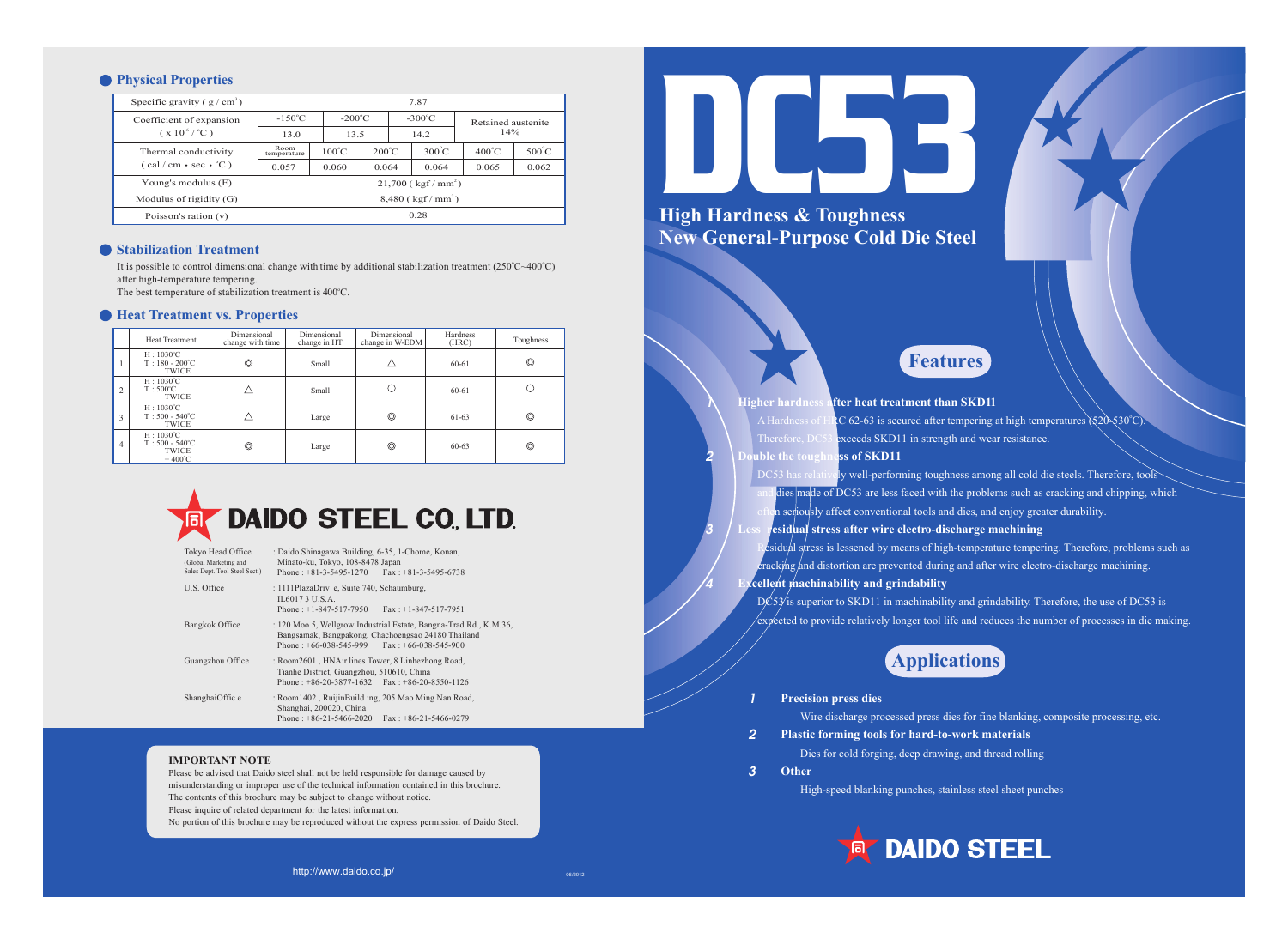**High Hardness & T New General-Purpose Cold Die Steel oughness**

1

2

3

4

**Higher hardness after heat treatment than SKD11** A Hardness of HRC 62-63 is secured after tempering at high temperatures  $\Sigma$ 0-530°C). Therefore, DC53 exceeds SKD11 in strength and wear resistance. **uble the toughness of SKD11** DC53 has relatively well-performing toughness among all cold die steels. Therefore, tools dies made of DC53 are less faced with the problems such as cracking and chipping, which in seriously affect conventional tools and dies, and enjoy greater durability. **residual stress after wire electro-discharge machining** esidual stress is lessened by means of high-temperature tempering. Therefore, problems such as  $\frac{1}{2}$  cracking and distortion are prevented during and after wire electro-discharge machining. **gridge is also indicate in the excellent** machinability  $D\angle 53$  is superior to SKD11 in machinability and grindability. Therefore, the use of DC53 is



### **• Physical Properties**

| Specific gravity $(g/cm^3)$                                                                | 7.87                                 |                 |                  |  |                    |                 |                 |
|--------------------------------------------------------------------------------------------|--------------------------------------|-----------------|------------------|--|--------------------|-----------------|-----------------|
| Coefficient of expansion<br>$(x 10^{-6} / C)$                                              | $-150^{\circ}$ C<br>$-200^{\circ}$ C |                 | $-300^{\circ}$ C |  | Retained austenite |                 |                 |
|                                                                                            | 13.0                                 | 13.5<br>14.2    |                  |  | 14%                |                 |                 |
| Thermal conductivity<br>$(\text{cal}/\text{cm} \cdot \text{sec} \cdot {}^{\circ}\text{C})$ | Room<br>temperature                  | $100^{\circ}$ C | $200^{\circ}$ C  |  | $300^{\circ}$ C    | $400^{\circ}$ C | $500^{\circ}$ C |
|                                                                                            | 0.057                                | 0.060           | 0.064            |  | 0.064              | 0.065           | 0.062           |
| Young's modulus $(E)$                                                                      | $21,700$ (kgf/mm <sup>2</sup> )      |                 |                  |  |                    |                 |                 |
| Modulus of rigidity $(G)$                                                                  | $8,480$ (kgf/mm <sup>2</sup> )       |                 |                  |  |                    |                 |                 |
| Poisson's ration (v)                                                                       | 0.28                                 |                 |                  |  |                    |                 |                 |
|                                                                                            |                                      |                 |                  |  |                    |                 |                 |

### $\bullet$  **Stabilization Treatment**

It is possible to control dimensional change with time by additional stabilization treatment  $(250^{\circ}C \sim 400^{\circ}C)$ after high-temperature tempering.

The best temperature of stabilization treatment is 400°C.

### **P** Heat Treatment vs. Properties





- 
- **Other** 3

1

2

High-speed blanking punches, stainless steel sheet punches



### **Features**

- 
- 
- 
- 
- 
- $\ell$ expected to provide relatively longer tool life and reduces the number of processes in die making.

### **Applications**

Wire discharge processed press dies for fine blanking, composite processing, etc. Dies for cold forging, deep drawing, and thread rolling

## **DAIDO STEEL**

|                | <b>Heat Treatment</b>                                                           | Dimensional<br>change with time | Dimensional<br>change in HT | Dimensional<br>change in W-EDM | Hardness<br>(HRC) | Toughness      |
|----------------|---------------------------------------------------------------------------------|---------------------------------|-----------------------------|--------------------------------|-------------------|----------------|
| 1              | $H: 1030^{\circ}C$<br>$T: 180 - 200^{\circ}C$<br><b>TWICE</b>                   | $\circledcirc$                  | Small                       |                                | 60-61             | $\circledcirc$ |
| $\overline{2}$ | $H: 1030^{\circ}C$<br>$T:500^{\circ}C$<br><b>TWICE</b>                          |                                 | Small                       |                                | 60-61             |                |
| $\overline{3}$ | $H: 1030^{\circ}C$<br>$T:500 - 540^{\circ}C$<br><b>TWICE</b>                    |                                 | Large                       | ◎                              | 61-63             | $\circledcirc$ |
| 4              | $H:1030^{\circ}C$<br>$T:500 - 540^{\circ}C$<br><b>TWICE</b><br>$+400^{\circ}$ C | $\circledcirc$                  | Large                       | ◎                              | $60 - 63$         | $\circledcirc$ |

# **DAIDO STEEL CO. LTD.**

| Tokyo Head Office<br>(Global Marketing and<br>Sales Dept. Tool Steel Sect.) | : Daido Shinagawa Building, 6-35, 1-Chome, Konan,<br>Minato-ku, Tokyo, 108-8478 Japan<br>Phone: $+81-3-5495-1270$ Fax: $+81-3-5495-6738$                                   |
|-----------------------------------------------------------------------------|----------------------------------------------------------------------------------------------------------------------------------------------------------------------------|
| U.S. Office                                                                 | : 1111PlazaDriv e, Suite 740, Schaumburg,<br>IL 6017 3 U.S.A.<br>Phone: $+1-847-517-7950$<br>$\text{Fax}: +1 - 847 - 517 - 7951$                                           |
| Bangkok Office                                                              | : 120 Moo 5, Wellgrow Industrial Estate, Bangna-Trad Rd., K.M.36,<br>Bangsamak, Bangpakong, Chachoengsao 24180 Thailand<br>Phone: $+66-038-545-999$ Fax: $+66-038-545-900$ |
| Guangzhou Office                                                            | : Room2601, HNAir lines Tower, 8 Linhezhong Road,<br>Tianhe District, Guangzhou, 510610, China<br>Phone: $+86-20-3877-1632$ Fax: $+86-20-8550-1126$                        |
| ShanghaiOffic e                                                             | : Room1402, RuijinBuild ing, 205 Mao Ming Nan Road,<br>Shanghai, 200020, China<br>Phone: $+86-21-5466-2020$<br>$\text{Fax}: +86-21-5466-0279$                              |

### **IMPORTANT NOTE**

Please be advised that Daido steel shall not be held responsible for damage caused by misunderstanding or improper use of the technical information contained in this brochure. The contents of this brochure may be subject to change without notice. Please inquire of related department for the latest information. No portion of this brochure may be reproduced without the express permission of Daido Steel.

http://www.daido.co.jp/